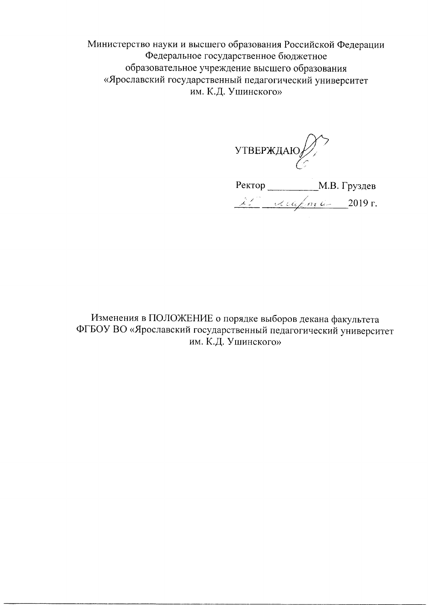Министерство науки и высшего образования Российской Федерации Федеральное государственное бюджетное образовательное учреждение высшего образования «Ярославский государственный педагогический университет им. К.Д. Ушинского»

УТВЕРЖДАЮ $\bigotimes$ 

Perrop \_\_\_\_\_\_\_\_\_\_\_\_\_\_M.B. Груздев

Изменения в ПОЛОЖЕНИЕ о порядке выборов декана факультета ФГБОУ ВО «Ярославский государственный педагогический университет им. К.Д. Ушинского»